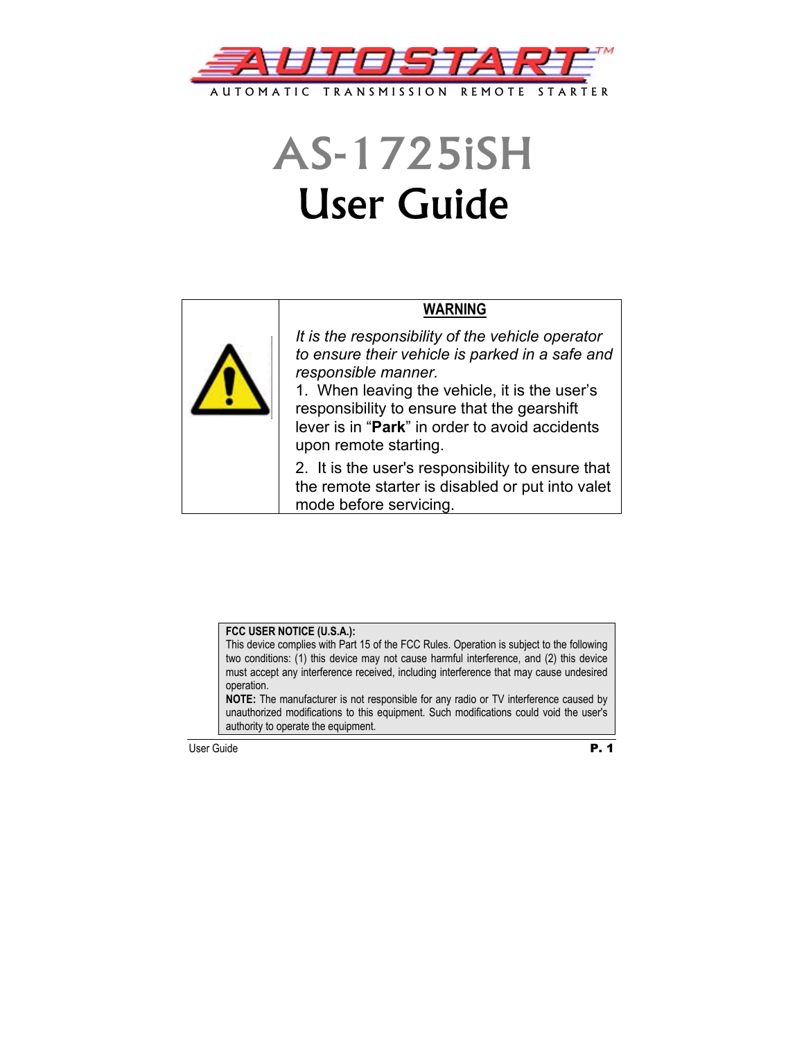

# AS-1725iSH User Guide

# **WARNING**



*It is the responsibility of the vehicle operator to ensure their vehicle is parked in a safe and responsible manner.* 

1. When leaving the vehicle, it is the user's responsibility to ensure that the gearshift lever is in "**Park**" in order to avoid accidents upon remote starting.

2. It is the user's responsibility to ensure that the remote starter is disabled or put into valet mode before servicing.

### **FCC USER NOTICE (U.S.A.):**

This device complies with Part 15 of the FCC Rules. Operation is subject to the following two conditions: (1) this device may not cause harmful interference, and (2) this device must accept any interference received, including interference that may cause undesired operation.

**NOTE:** The manufacturer is not responsible for any radio or TV interference caused by unauthorized modifications to this equipment. Such modifications could void the user's authority to operate the equipment.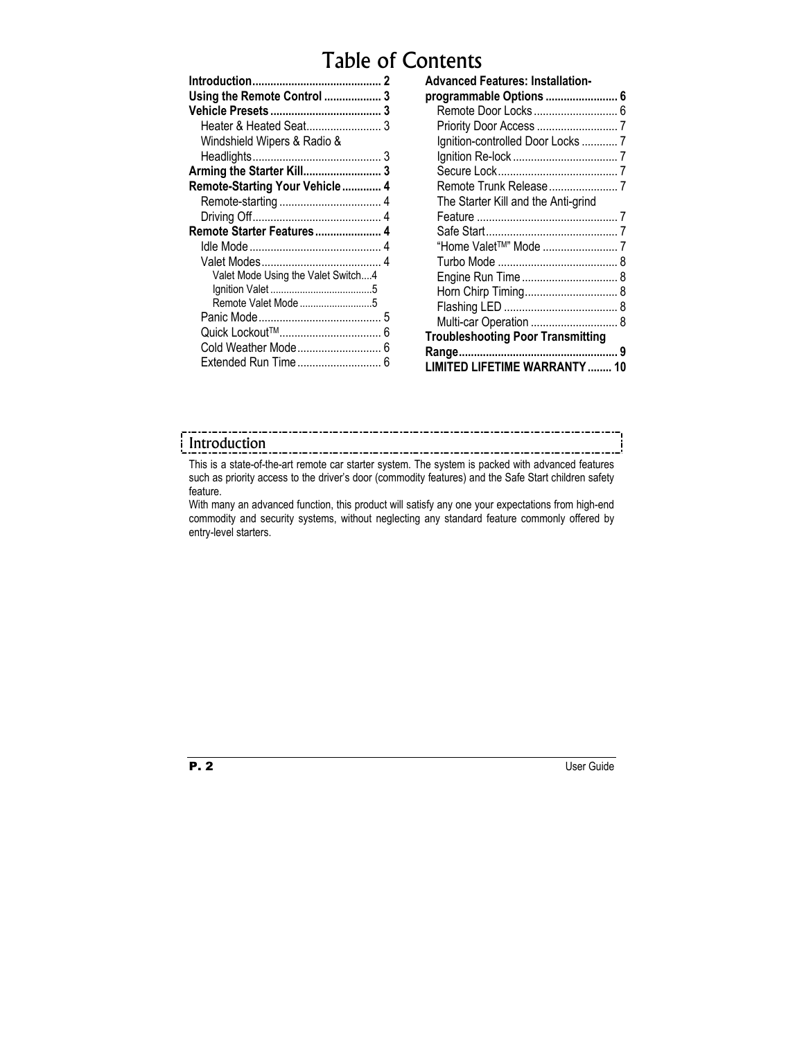# Table of Contents

| Using the Remote Control  3        |   |
|------------------------------------|---|
|                                    | 3 |
|                                    |   |
| Windshield Wipers & Radio &        |   |
|                                    |   |
|                                    |   |
| Remote-Starting Your Vehicle 4     |   |
|                                    |   |
|                                    |   |
| Remote Starter Features            |   |
|                                    | 4 |
|                                    |   |
| Valet Mode Using the Valet Switch4 |   |
|                                    |   |
|                                    |   |
|                                    | 5 |
|                                    | 6 |
| Cold Weather Mode                  | 6 |
| Extended Run Time                  | 6 |
|                                    |   |

| <b>Advanced Features: Installation-</b>  |  |
|------------------------------------------|--|
| programmable Options  6                  |  |
|                                          |  |
|                                          |  |
| Ignition-controlled Door Locks  7        |  |
|                                          |  |
|                                          |  |
|                                          |  |
| The Starter Kill and the Anti-grind      |  |
|                                          |  |
|                                          |  |
|                                          |  |
|                                          |  |
|                                          |  |
|                                          |  |
|                                          |  |
| Multi-car Operation  8                   |  |
| <b>Troubleshooting Poor Transmitting</b> |  |
|                                          |  |
| LIMITED LIFETIME WARRANTY  10            |  |
|                                          |  |

# Introduction

This is a state-of-the-art remote car starter system. The system is packed with advanced features such as priority access to the driver's door (commodity features) and the Safe Start children safety feature.

With many an advanced function, this product will satisfy any one your expectations from high-end commodity and security systems, without neglecting any standard feature commonly offered by entry-level starters.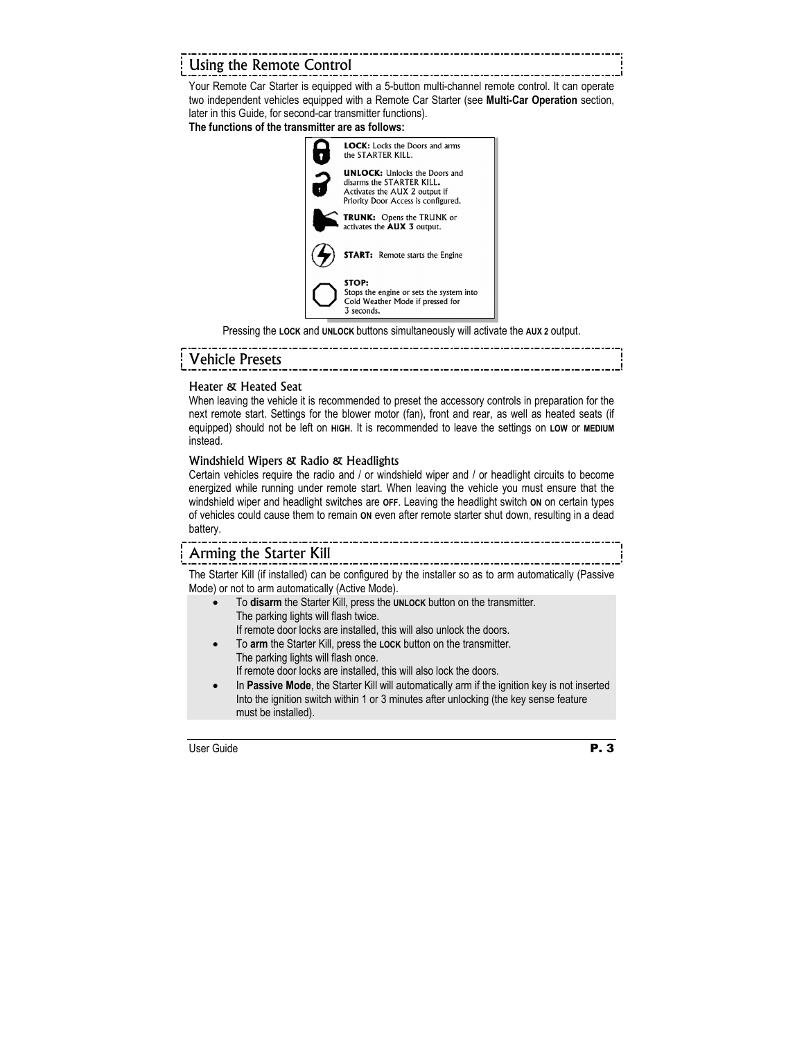# Using the Remote Control

Your Remote Car Starter is equipped with a 5-button multi-channel remote control. It can operate two independent vehicles equipped with a Remote Car Starter (see **Multi-Car Operation** section, later in this Guide, for second-car transmitter functions).

### **The functions of the transmitter are as follows:**



Pressing the **LOCK** and **UNLOCK** buttons simultaneously will activate the **AUX 2** output.

# Vehicle Presets

### Heater & Heated Seat

When leaving the vehicle it is recommended to preset the accessory controls in preparation for the next remote start. Settings for the blower motor (fan), front and rear, as well as heated seats (if equipped) should not be left on **HIGH**. It is recommended to leave the settings on **LOW** or **MEDIUM** instead.

### Windshield Wipers & Radio & Headlights

Certain vehicles require the radio and / or windshield wiper and / or headlight circuits to become energized while running under remote start. When leaving the vehicle you must ensure that the windshield wiper and headlight switches are **OFF**. Leaving the headlight switch **ON** on certain types of vehicles could cause them to remain **ON** even after remote starter shut down, resulting in a dead battery.

# Arming the Starter Kill

The Starter Kill (if installed) can be configured by the installer so as to arm automatically (Passive Mode) or not to arm automatically (Active Mode).

- To **disarm** the Starter Kill, press the **UNLOCK** button on the transmitter. The parking lights will flash twice. If remote door locks are installed, this will also unlock the doors.
- To **arm** the Starter Kill, press the **LOCK** button on the transmitter. The parking lights will flash once. If remote door locks are installed, this will also lock the doors.
- In **Passive Mode**, the Starter Kill will automatically arm if the ignition key is not inserted Into the ignition switch within 1 or 3 minutes after unlocking (the key sense feature must be installed).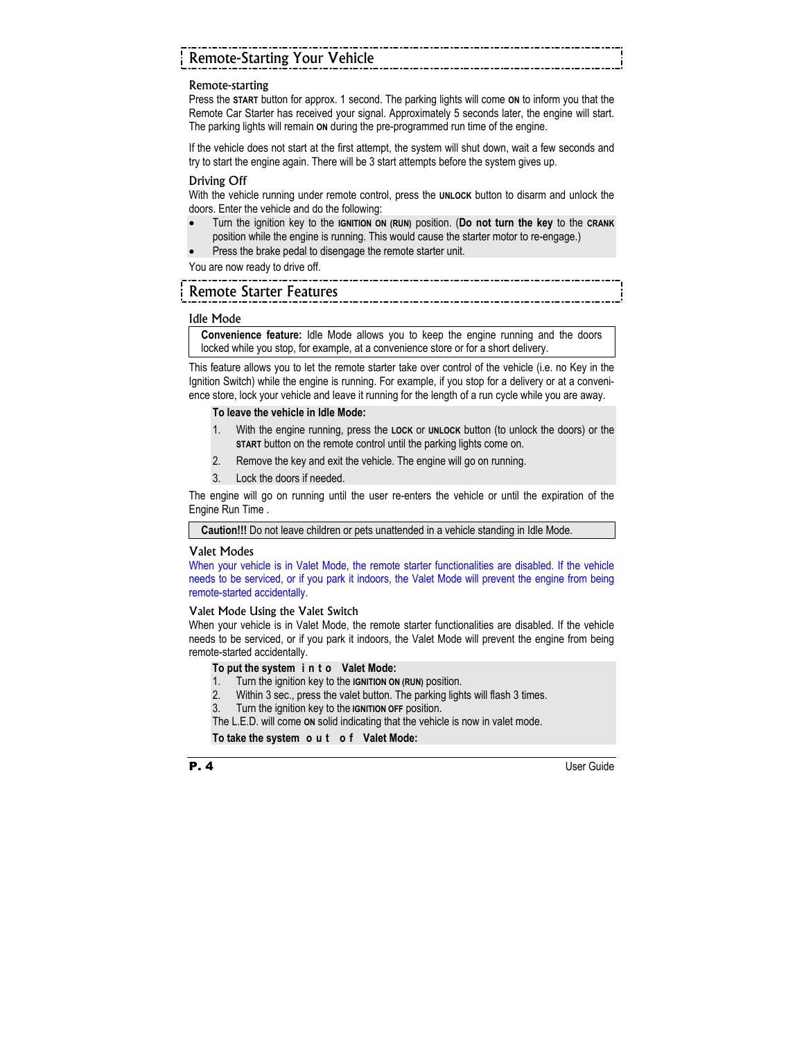# Remote-Starting Your Vehicle

### Remote-starting

Press the **START** button for approx. 1 second. The parking lights will come **ON** to inform you that the Remote Car Starter has received your signal. Approximately 5 seconds later, the engine will start. The parking lights will remain **ON** during the pre-programmed run time of the engine.

If the vehicle does not start at the first attempt, the system will shut down, wait a few seconds and try to start the engine again. There will be 3 start attempts before the system gives up.

### Driving Off

With the vehicle running under remote control, press the **UNLOCK** button to disarm and unlock the doors. Enter the vehicle and do the following:

• Turn the ignition key to the **IGNITION ON (RUN)** position. (**Do not turn the key** to the **CRANK** position while the engine is running. This would cause the starter motor to re-engage.)

-------------------------

Press the brake pedal to disengage the remote starter unit.

You are now ready to drive off.

### Remote Starter Features

### Idle Mode

**Convenience feature:** Idle Mode allows you to keep the engine running and the doors locked while you stop, for example, at a convenience store or for a short delivery.

This feature allows you to let the remote starter take over control of the vehicle (i.e. no Key in the Ignition Switch) while the engine is running. For example, if you stop for a delivery or at a convenience store, lock your vehicle and leave it running for the length of a run cycle while you are away.

### **To leave the vehicle in Idle Mode:**

- 1. With the engine running, press the **LOCK** or **UNLOCK** button (to unlock the doors) or the **START** button on the remote control until the parking lights come on.
- 2. Remove the key and exit the vehicle. The engine will go on running.
- 3. Lock the doors if needed.

The engine will go on running until the user re-enters the vehicle or until the expiration of the Engine Run Time .

**Caution!!!** Do not leave children or pets unattended in a vehicle standing in Idle Mode.

### Valet Modes

When your vehicle is in Valet Mode, the remote starter functionalities are disabled. If the vehicle needs to be serviced, or if you park it indoors, the Valet Mode will prevent the engine from being remote-started accidentally.

### Valet Mode Using the Valet Switch

When your vehicle is in Valet Mode, the remote starter functionalities are disabled. If the vehicle needs to be serviced, or if you park it indoors, the Valet Mode will prevent the engine from being remote-started accidentally.

### **To put the system i n t o Valet Mode:**

- 1. Turn the ignition key to the **IGNITION ON (RUN)** position.
- 2. Within 3 sec., press the valet button. The parking lights will flash 3 times.
- 3. Turn the ignition key to the **IGNITION OFF** position.

The L.E.D. will come **ON** solid indicating that the vehicle is now in valet mode.

### **To take the system o u t o f Valet Mode:**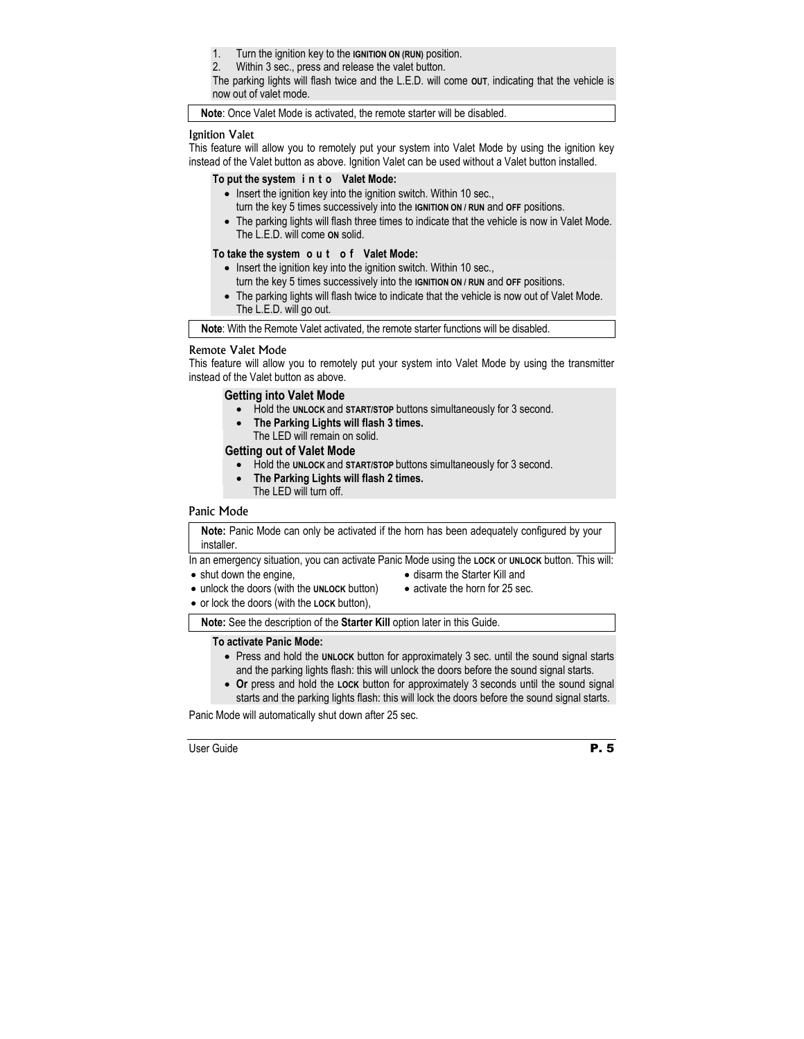1. Turn the ignition key to the **IGNITION ON (RUN)** position.

2. Within 3 sec., press and release the valet button.

The parking lights will flash twice and the L.E.D. will come **OUT**, indicating that the vehicle is now out of valet mode.

**Note**: Once Valet Mode is activated, the remote starter will be disabled.

### Ignition Valet

This feature will allow you to remotely put your system into Valet Mode by using the ignition key instead of the Valet button as above. Ignition Valet can be used without a Valet button installed.

### **To put the system i n t o Valet Mode:**

- Insert the ignition key into the ignition switch. Within 10 sec., turn the key 5 times successively into the **IGNITION ON / RUN** and **OFF** positions.
- The parking lights will flash three times to indicate that the vehicle is now in Valet Mode. The L.E.D. will come **ON** solid.

### **To take the system o u t o f Valet Mode:**

- Insert the ignition key into the ignition switch. Within 10 sec., turn the key 5 times successively into the **IGNITION ON / RUN** and **OFF** positions.
- The parking lights will flash twice to indicate that the vehicle is now out of Valet Mode. The L.E.D. will go out.

**Note**: With the Remote Valet activated, the remote starter functions will be disabled.

### Remote Valet Mode

This feature will allow you to remotely put your system into Valet Mode by using the transmitter instead of the Valet button as above.

### **Getting into Valet Mode**

- Hold the **UNLOCK** and **START/STOP** buttons simultaneously for 3 second.
- **The Parking Lights will flash 3 times.**  The LED will remain on solid.

### **Getting out of Valet Mode**

- Hold the **UNLOCK** and **START/STOP** buttons simultaneously for 3 second.
- **The Parking Lights will flash 2 times.**  The LED will turn off.

### Panic Mode

**Note:** Panic Mode can only be activated if the horn has been adequately configured by your installer.

In an emergency situation, you can activate Panic Mode using the **LOCK** or **UNLOCK** button. This will:

• shut down the engine.

- disarm the Starter Kill and
- unlock the doors (with the **UNLOCK** button)
- activate the horn for 25 sec.
- or lock the doors (with the **LOCK** button),

**Note:** See the description of the **Starter Kill** option later in this Guide.

### **To activate Panic Mode:**

- Press and hold the **UNLOCK** button for approximately 3 sec. until the sound signal starts and the parking lights flash: this will unlock the doors before the sound signal starts.
- **Or** press and hold the **LOCK** button for approximately 3 seconds until the sound signal starts and the parking lights flash: this will lock the doors before the sound signal starts.

Panic Mode will automatically shut down after 25 sec.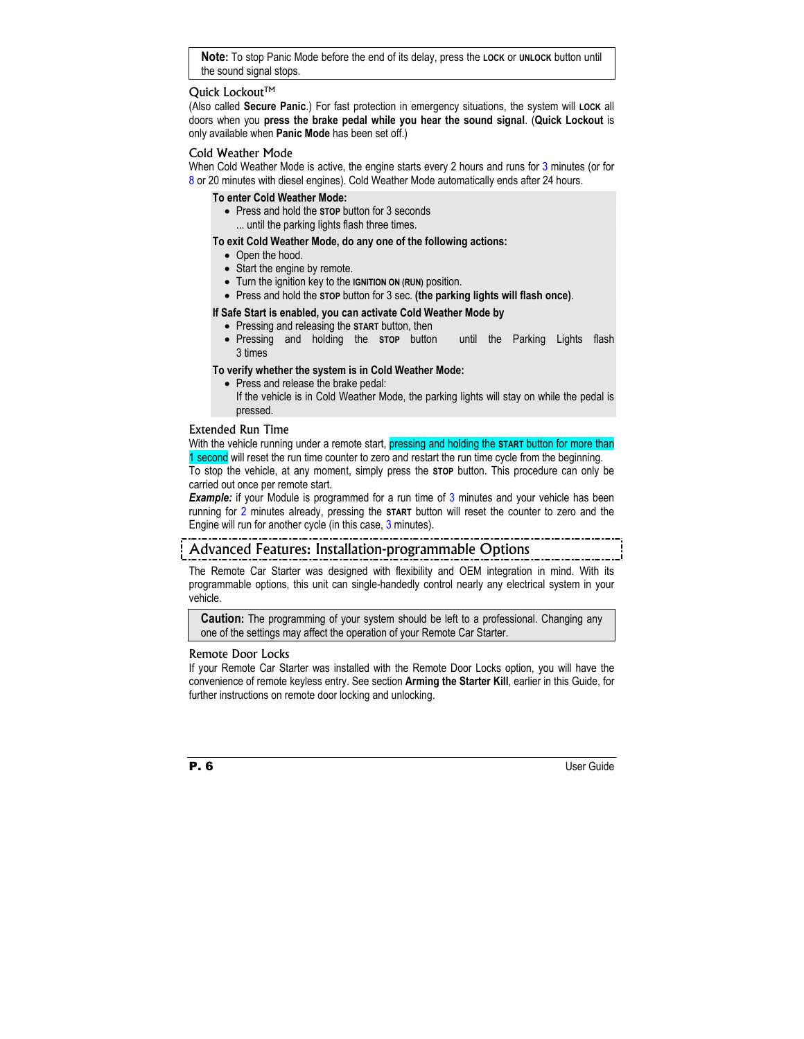**Note:** To stop Panic Mode before the end of its delay, press the **LOCK** or **UNLOCK** button until the sound signal stops.

### Ouick Lockout™

(Also called **Secure Panic**.) For fast protection in emergency situations, the system will **LOCK** all doors when you **press the brake pedal while you hear the sound signal**. (**Quick Lockout** is only available when **Panic Mode** has been set off.)

### Cold Weather Mode

When Cold Weather Mode is active, the engine starts every 2 hours and runs for 3 minutes (or for 8 or 20 minutes with diesel engines). Cold Weather Mode automatically ends after 24 hours.

### **To enter Cold Weather Mode:**

• Press and hold the **STOP** button for 3 seconds ... until the parking lights flash three times.

### **To exit Cold Weather Mode, do any one of the following actions:**

- Open the hood.
- Start the engine by remote.
- Turn the ignition key to the **IGNITION ON (RUN)** position.
- Press and hold the **STOP** button for 3 sec. **(the parking lights will flash once)**.

### **If Safe Start is enabled, you can activate Cold Weather Mode by**

- Pressing and releasing the **START** button, then
- Pressing and holding the **STOP** button until the Parking Lights flash 3 times

### **To verify whether the system is in Cold Weather Mode:**

• Press and release the brake pedal: If the vehicle is in Cold Weather Mode, the parking lights will stay on while the pedal is pressed.

### Extended Run Time

With the vehicle running under a remote start, pressing and holding the **START** button for more than 1 second will reset the run time counter to zero and restart the run time cycle from the beginning.

To stop the vehicle, at any moment, simply press the **STOP** button. This procedure can only be carried out once per remote start.

**Example:** if your Module is programmed for a run time of 3 minutes and your vehicle has been running for 2 minutes already, pressing the **START** button will reset the counter to zero and the Engine will run for another cycle (in this case, 3 minutes).

## Advanced Features: Installation-programmable Options

The Remote Car Starter was designed with flexibility and OEM integration in mind. With its programmable options, this unit can single-handedly control nearly any electrical system in your vehicle.

**Caution:** The programming of your system should be left to a professional. Changing any one of the settings may affect the operation of your Remote Car Starter.

### Remote Door Locks

If your Remote Car Starter was installed with the Remote Door Locks option, you will have the convenience of remote keyless entry. See section **Arming the Starter Kill**, earlier in this Guide, for further instructions on remote door locking and unlocking.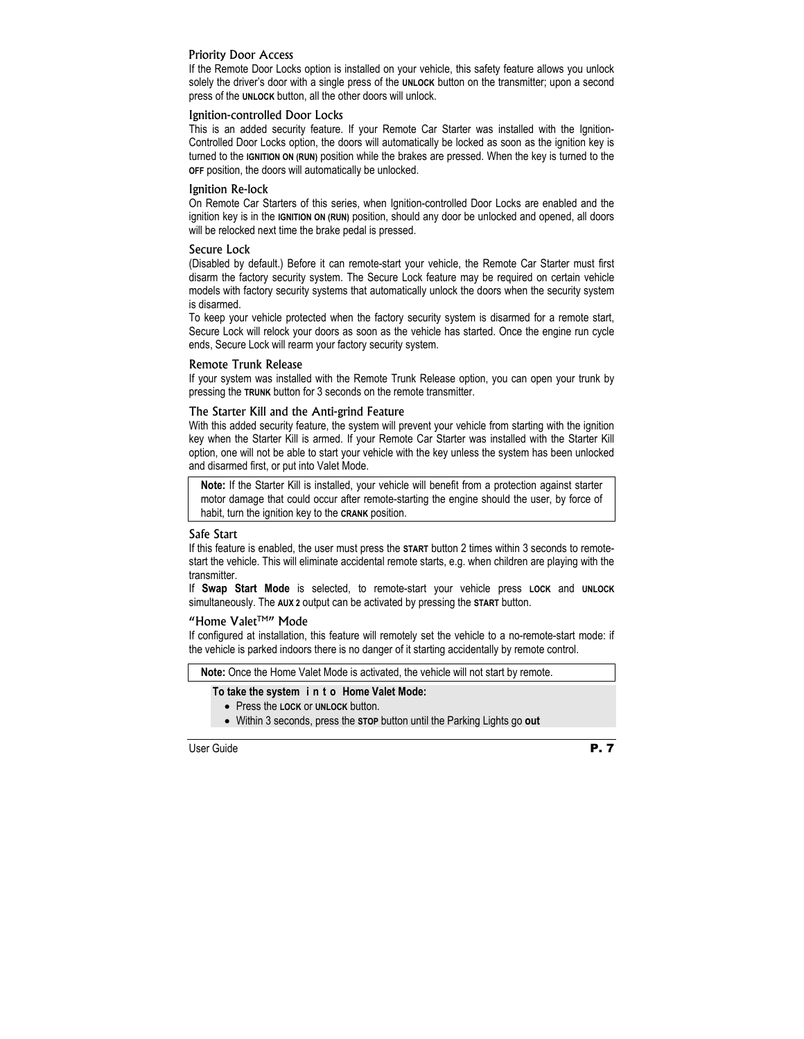### Priority Door Access

If the Remote Door Locks option is installed on your vehicle, this safety feature allows you unlock solely the driver's door with a single press of the **UNLOCK** button on the transmitter; upon a second press of the **UNLOCK** button, all the other doors will unlock.

### Ignition-controlled Door Locks

This is an added security feature. If your Remote Car Starter was installed with the Ignition-Controlled Door Locks option, the doors will automatically be locked as soon as the ignition key is turned to the **IGNITION ON (RUN)** position while the brakes are pressed. When the key is turned to the **OFF** position, the doors will automatically be unlocked.

### Ignition Re-lock

On Remote Car Starters of this series, when Ignition-controlled Door Locks are enabled and the ignition key is in the **IGNITION ON (RUN)** position, should any door be unlocked and opened, all doors will be relocked next time the brake pedal is pressed.

### Secure Lock

(Disabled by default.) Before it can remote-start your vehicle, the Remote Car Starter must first disarm the factory security system. The Secure Lock feature may be required on certain vehicle models with factory security systems that automatically unlock the doors when the security system is disarmed.

To keep your vehicle protected when the factory security system is disarmed for a remote start, Secure Lock will relock your doors as soon as the vehicle has started. Once the engine run cycle ends, Secure Lock will rearm your factory security system.

### Remote Trunk Release

If your system was installed with the Remote Trunk Release option, you can open your trunk by pressing the **TRUNK** button for 3 seconds on the remote transmitter.

### The Starter Kill and the Anti-grind Feature

With this added security feature, the system will prevent your vehicle from starting with the ignition key when the Starter Kill is armed. If your Remote Car Starter was installed with the Starter Kill option, one will not be able to start your vehicle with the key unless the system has been unlocked and disarmed first, or put into Valet Mode.

**Note:** If the Starter Kill is installed, your vehicle will benefit from a protection against starter motor damage that could occur after remote-starting the engine should the user, by force of habit, turn the ignition key to the **CRANK** position.

### Safe Start

If this feature is enabled, the user must press the **START** button 2 times within 3 seconds to remotestart the vehicle. This will eliminate accidental remote starts, e.g. when children are playing with the transmitter.

If **Swap Start Mode** is selected, to remote-start your vehicle press **LOCK** and **UNLOCK** simultaneously. The **AUX 2** output can be activated by pressing the **START** button.

### "Home Valet<sup>™"</sup> Mode

If configured at installation, this feature will remotely set the vehicle to a no-remote-start mode: if the vehicle is parked indoors there is no danger of it starting accidentally by remote control.

### **Note:** Once the Home Valet Mode is activated, the vehicle will not start by remote.

### **To take the system i n t o Home Valet Mode:**

- Press the **LOCK** or **UNLOCK** button.
- Within 3 seconds, press the **STOP** button until the Parking Lights go **out**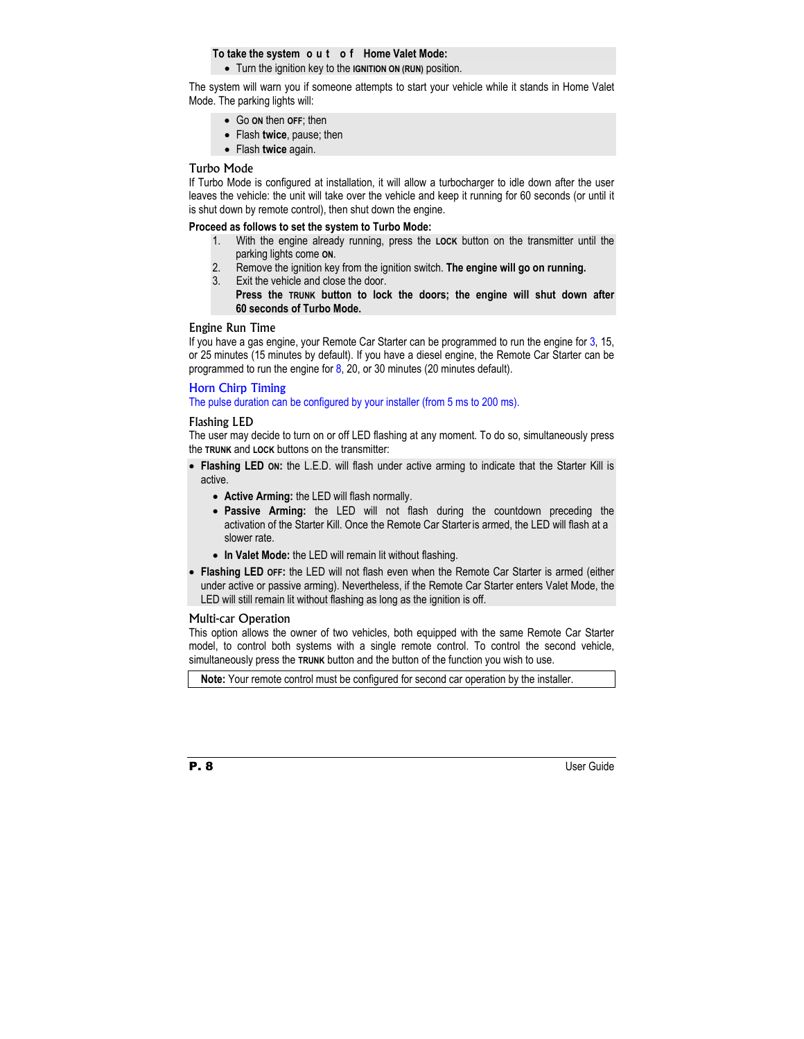### **To take the system o u t o f Home Valet Mode:**

• Turn the ignition key to the **IGNITION ON (RUN)** position.

The system will warn you if someone attempts to start your vehicle while it stands in Home Valet Mode. The parking lights will:

- Go **ON** then **OFF**; then
- Flash **twice**, pause; then
- Flash **twice** again.

### Turbo Mode

If Turbo Mode is configured at installation, it will allow a turbocharger to idle down after the user leaves the vehicle: the unit will take over the vehicle and keep it running for 60 seconds (or until it is shut down by remote control), then shut down the engine.

### **Proceed as follows to set the system to Turbo Mode:**

- 1. With the engine already running, press the **LOCK** button on the transmitter until the parking lights come **ON**.
- 2. Remove the ignition key from the ignition switch. **The engine will go on running.**
- 3. Exit the vehicle and close the door.
	- **Press the TRUNK button to lock the doors; the engine will shut down after 60 seconds of Turbo Mode.**

### Engine Run Time

If you have a gas engine, your Remote Car Starter can be programmed to run the engine for 3, 15, or 25 minutes (15 minutes by default). If you have a diesel engine, the Remote Car Starter can be programmed to run the engine for  $8$ , 20, or 30 minutes (20 minutes default).

### Horn Chirp Timing

The pulse duration can be configured by your installer (from 5 ms to 200 ms).

### Flashing LED

The user may decide to turn on or off LED flashing at any moment. To do so, simultaneously press the **TRUNK** and **LOCK** buttons on the transmitter:

- **Flashing LED ON:** the L.E.D. will flash under active arming to indicate that the Starter Kill is active.
	- **Active Arming:** the LED will flash normally.
	- **Passive Arming:** the LED will not flash during the countdown preceding the activation of the Starter Kill. Once the Remote Car Starter is armed, the LED will flash at a slower rate.
	- **In Valet Mode:** the LED will remain lit without flashing.
- **Flashing LED OFF:** the LED will not flash even when the Remote Car Starter is armed (either under active or passive arming). Nevertheless, if the Remote Car Starter enters Valet Mode, the LED will still remain lit without flashing as long as the ignition is off.

### Multi-car Operation

This option allows the owner of two vehicles, both equipped with the same Remote Car Starter model, to control both systems with a single remote control. To control the second vehicle, simultaneously press the **TRUNK** button and the button of the function you wish to use.

**Note:** Your remote control must be configured for second car operation by the installer.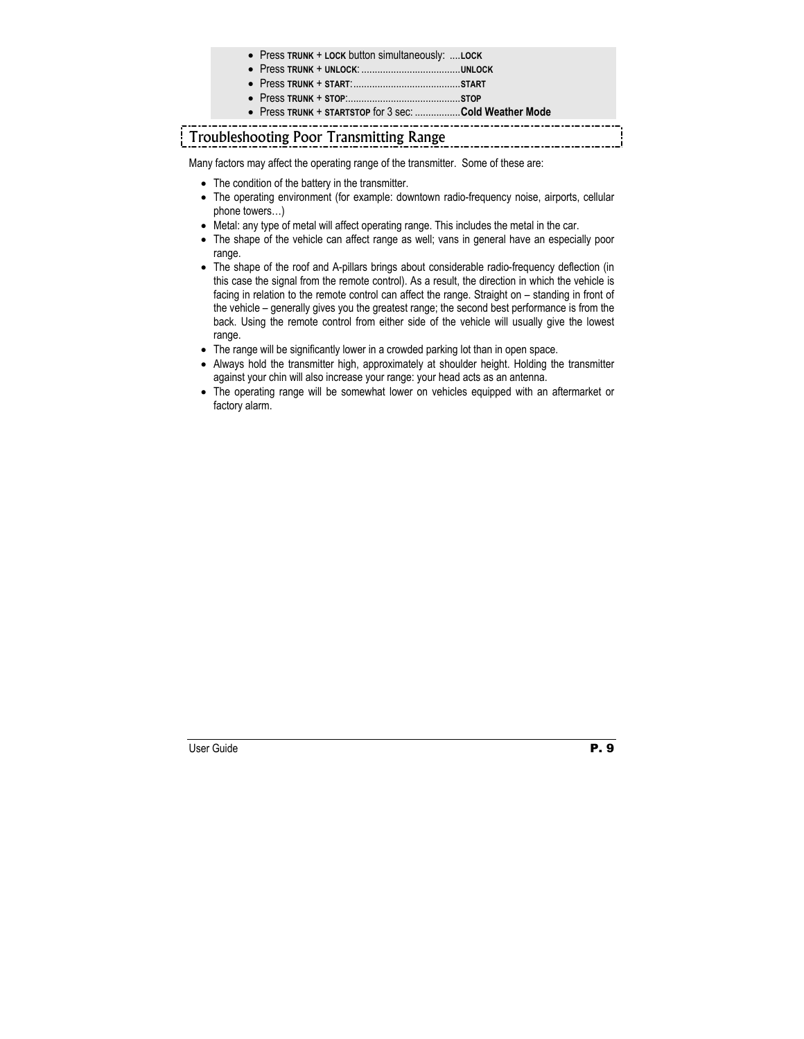- Press **TRUNK** + **LOCK** button simultaneously: ....**LOCK**
- Press **TRUNK** + **UNLOCK**: .....................................**UNLOCK**
- Press **TRUNK** + **START**:........................................**START**
- Press **TRUNK** + **STOP**:..........................................**STOP**
- Press **TRUNK** + **STARTSTOP** for 3 sec: .................**Cold Weather Mode**

# Troubleshooting Poor Transmitting Range

Many factors may affect the operating range of the transmitter. Some of these are:

- The condition of the battery in the transmitter.
- The operating environment (for example: downtown radio-frequency noise, airports, cellular phone towers…)
- Metal: any type of metal will affect operating range. This includes the metal in the car.
- The shape of the vehicle can affect range as well; vans in general have an especially poor range.
- The shape of the roof and A-pillars brings about considerable radio-frequency deflection (in this case the signal from the remote control). As a result, the direction in which the vehicle is facing in relation to the remote control can affect the range. Straight on – standing in front of the vehicle – generally gives you the greatest range; the second best performance is from the back. Using the remote control from either side of the vehicle will usually give the lowest range.
- The range will be significantly lower in a crowded parking lot than in open space.
- Always hold the transmitter high, approximately at shoulder height. Holding the transmitter against your chin will also increase your range: your head acts as an antenna.
- The operating range will be somewhat lower on vehicles equipped with an aftermarket or factory alarm.